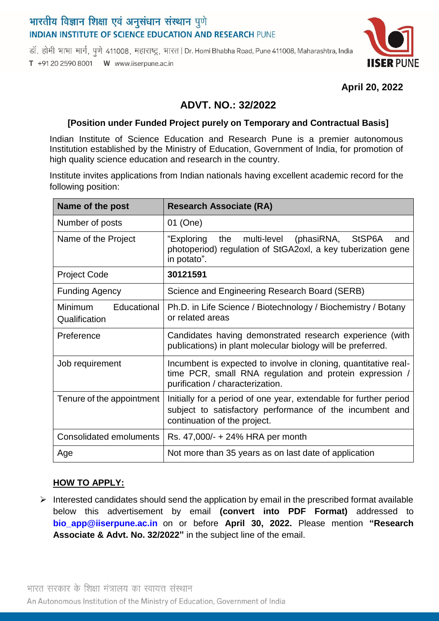# भारतीय विज्ञान शिक्षा एवं अनुसंधान संस्थान पुणे **INDIAN INSTITUTE OF SCIENCE EDUCATION AND RESEARCH PUNE**

डॉ. होमी भाभा मार्ग, पणे 411008, महाराष्ट्र, भारत | Dr. Homi Bhabha Road, Pune 411008, Maharashtra, India T +91 20 2590 8001 W www.iiserpune.ac.in



### **April 20, 2022**

## **ADVT. NO.: 32/2022**

#### **[Position under Funded Project purely on Temporary and Contractual Basis]**

Indian Institute of Science Education and Research Pune is a premier autonomous Institution established by the Ministry of Education, Government of India, for promotion of high quality science education and research in the country.

Institute invites applications from Indian nationals having excellent academic record for the following position:

| Name of the post                               | <b>Research Associate (RA)</b>                                                                                                                                 |
|------------------------------------------------|----------------------------------------------------------------------------------------------------------------------------------------------------------------|
| Number of posts                                | 01 (One)                                                                                                                                                       |
| Name of the Project                            | multi-level (phasiRNA,<br>"Exploring<br>the<br>StSP6A<br>and<br>photoperiod) regulation of StGA2oxl, a key tuberization gene<br>in potato".                    |
| <b>Project Code</b>                            | 30121591                                                                                                                                                       |
| <b>Funding Agency</b>                          | Science and Engineering Research Board (SERB)                                                                                                                  |
| Educational<br><b>Minimum</b><br>Qualification | Ph.D. in Life Science / Biotechnology / Biochemistry / Botany<br>or related areas                                                                              |
| Preference                                     | Candidates having demonstrated research experience (with<br>publications) in plant molecular biology will be preferred.                                        |
| Job requirement                                | Incumbent is expected to involve in cloning, quantitative real-<br>time PCR, small RNA regulation and protein expression /<br>purification / characterization. |
| Tenure of the appointment                      | Initially for a period of one year, extendable for further period<br>subject to satisfactory performance of the incumbent and<br>continuation of the project.  |
| Consolidated emoluments                        | Rs. 47,000/- + 24% HRA per month                                                                                                                               |
| Age                                            | Not more than 35 years as on last date of application                                                                                                          |

#### **HOW TO APPLY:**

 $\triangleright$  Interested candidates should send the application by email in the prescribed format available below this advertisement by email **(convert into PDF Format)** addressed to **[bio\\_app@iiserpune.ac.in](mailto:bio_app@iiserpune.ac.in)** on or before **April 30, 2022.** Please mention **"Research Associate & Advt. No. 32/2022"** in the subject line of the email.